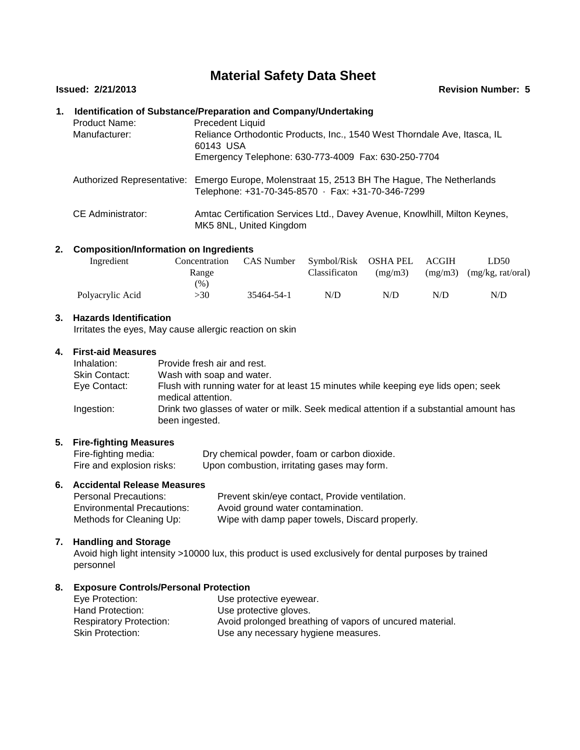# **Material Safety Data Sheet**

#### **Issued: 2/21/2013 Revision Number: 5**

# **1. Identification of Substance/Preparation and Company/Undertaking** Product Name: Precedent Liquid Manufacturer: Authorized Representative: Emergo Europe, Molenstraat 15, 2513 BH The Hague, The Netherlands Reliance Orthodontic Products, Inc., 1540 West Thorndale Ave, Itasca, IL 60143 USA Emergency Telephone: 630-773-4009 Fax: 630-250-7704 Telephone: +31-70-345-8570 · Fax: +31-70-346-7299 CE Administrator: Amtac Certification Services Ltd., Davey Avenue, Knowlhill, Milton Keynes, MK5 8NL, United Kingdom

# **2. Composition/Information on Ingredients**

| Ingredient       | Concentration | CAS Number Symbol/Risk OSHA PEL |               |         | ACGIH | LD50                          |  |
|------------------|---------------|---------------------------------|---------------|---------|-------|-------------------------------|--|
|                  | Range         |                                 | Classificaton | (mg/m3) |       | $(mg/m3)$ $(mg/kg, rat/oral)$ |  |
|                  | (96)          |                                 |               |         |       |                               |  |
| Polyacrylic Acid | >30           | 35464-54-1                      | N/D           | N/D     | N/D   | N/D                           |  |

#### **3. Hazards Identification**

Irritates the eyes, May cause allergic reaction on skin

#### **4. First-aid Measures**

| Inhalation:          | Provide fresh air and rest.                                                                              |
|----------------------|----------------------------------------------------------------------------------------------------------|
| <b>Skin Contact:</b> | Wash with soap and water.                                                                                |
| Eye Contact:         | Flush with running water for at least 15 minutes while keeping eye lids open; seek<br>medical attention. |
| Ingestion:           | Drink two glasses of water or milk. Seek medical attention if a substantial amount has<br>been ingested. |

# **5. Fire-fighting Measures**

Fire-fighting media: Dry chemical powder, foam or carbon dioxide.<br>
Fire and explosion risks: Upon combustion, irritating gases may form. Upon combustion, irritating gases may form.

# **6. Accidental Release Measures**

| <b>Personal Precautions:</b>      | Prevent skin/eye contact, Provide ventilation. |
|-----------------------------------|------------------------------------------------|
| <b>Environmental Precautions:</b> | Avoid ground water contamination.              |
| Methods for Cleaning Up:          | Wipe with damp paper towels, Discard properly. |

#### **7. Handling and Storage**

Avoid high light intensity >10000 lux, this product is used exclusively for dental purposes by trained personnel

#### **8. Exposure Controls/Personal Protection**

| Eye Protection:                | Use protective eyewear.                                  |
|--------------------------------|----------------------------------------------------------|
| Hand Protection:               | Use protective gloves.                                   |
| <b>Respiratory Protection:</b> | Avoid prolonged breathing of vapors of uncured material. |
| <b>Skin Protection:</b>        | Use any necessary hygiene measures.                      |